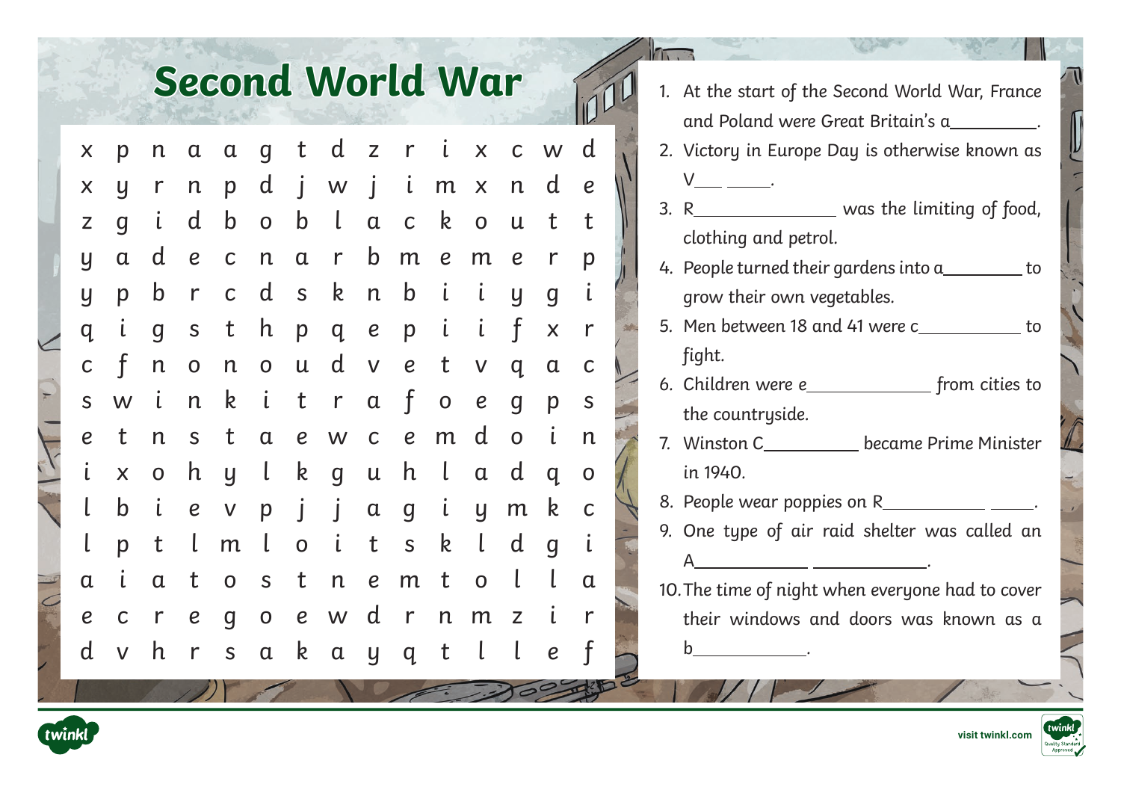## **Second World War**

| X                | p                       | n              | $\alpha$         | $\alpha$                  | $\overline{g}$ | t                | d              | $\mathsf{Z}$                | $\mathsf{r}$     | $\mathfrak{c}$ | $\boldsymbol{\mathsf{X}}$ | $\mathsf C$    | W                | d                                                                                         |
|------------------|-------------------------|----------------|------------------|---------------------------|----------------|------------------|----------------|-----------------------------|------------------|----------------|---------------------------|----------------|------------------|-------------------------------------------------------------------------------------------|
| X                | y                       | $\mathsf{r}$   | $\mathsf{n}$     | p                         | d              | $\dot{J}$        | W              | $\mathbf{j}$                | $\mathbf{i}$     | m              | $\pmb{\times}$            | $\mathsf{n}$   | d                | $\boldsymbol{e}$                                                                          |
| Z                | g                       | $\mathfrak{c}$ | d                | $\mathsf b$               | $\overline{O}$ | $\mathbf b$      | $\lfloor$      | $\alpha$                    | $\mathsf C$      | $\mathsf{k}$   | $\mathbf 0$               | $\mathsf{u}$   | t                | t                                                                                         |
| y                | $\alpha$                | d              | $\boldsymbol{e}$ | $\mathsf C$               | $\mathsf{n}$   | $\mathfrak a$    | $\mathsf{r}$   | $\mathsf b$                 | m                | $\pmb{e}$      | m                         | $\pmb{e}$      | $\mathsf{r}$     | p                                                                                         |
| y                | p                       | b              | $\mathsf{r}$     | $\mathsf C$               | d              | $\mathsf{S}$     | k              | $\mathsf{n}$                | $\mathbf b$      | $\mathfrak{i}$ | $\mathfrak{i}$            | y              | g                | $\mathsf{L}% _{0}\left( \mathcal{N}\right) \equiv\mathsf{L}_{0}\left( \mathcal{N}\right)$ |
| q                | $\mathsf L$             | $\overline{g}$ | $\mathsf S$      | t                         | h              | p                | q              | $\boldsymbol{e}$            | p                | $\mathfrak{i}$ | $\mathfrak{i}$            | $\mathbf f$    | $\mathsf{X}$     | $\mathsf{r}$                                                                              |
| $\mathsf{C}$     | f                       | n              | $\mathbf 0$      | $\mathsf{n}$              | $\mathbf 0$    | $\mathsf{u}$     | d              | $\mathsf V$                 | $\boldsymbol{e}$ | t              | $\mathsf{V}$              | q              | $\alpha$         | $\mathsf{C}$                                                                              |
| S                | W                       | $\dot{\iota}$  | $\mathsf{n}$     | $\mathsf{k}$              | $\mathfrak{i}$ | t                | $r_{\rm}$      | $\alpha$                    | $\mathbf f$      | $\mathbf 0$    | $\boldsymbol{e}$          | $\overline{g}$ | p                | $\mathsf S$                                                                               |
| $\boldsymbol{e}$ | t                       | $\mathsf{n}$   | $\mathsf{S}$     | t                         | $\alpha$       | $\boldsymbol{e}$ | W              | $\mathsf C$                 | $\pmb{e}$        | m              | d                         | $\overline{O}$ | $\mathbf{i}$     | n                                                                                         |
| $\mathfrak{i}$   | $\overline{\mathsf{X}}$ | $\overline{O}$ | h                | $\overline{y}$            | $\mathsf{l}$   | k                | $\overline{g}$ | ${\boldsymbol{\mathsf{u}}}$ | h                | $\lfloor$      | $\alpha$                  | d              | $q_{0}$          | $\mathbf 0$                                                                               |
| l                | $\mathsf b$             | $\mathfrak{i}$ | $\boldsymbol{e}$ | $\boldsymbol{\mathsf{V}}$ | p              | $\int$           | $\mathbf{j}$   | $\alpha$                    | $\overline{g}$   | $\mathfrak{i}$ | y                         | m              | k                | $\mathsf C$                                                                               |
| l                | p                       | t              | $\lfloor$        | m                         | $\mathsf{L}$   | $\overline{O}$   | $\dot{\iota}$  | t                           | $\mathsf{S}$     | $\mathsf{k}$   | t                         | d              | $\overline{g}$   | $\mathsf{L}$                                                                              |
| $\alpha$         | $\mathfrak{i}$          | $\alpha$       | t                | $\mathbf 0$               | $\mathsf S$    | t                | $\mathsf{n}$   | $\boldsymbol{e}$            | m                | t              | $\mathbf 0$               | l              | l                | $\alpha$                                                                                  |
| $\boldsymbol{e}$ | $\mathsf C$             | $\mathsf{r}$   | $\pmb{e}$        | q                         | $\mathbf 0$    | $\overline{e}$   | W              | d                           | $\mathsf{r}$     | $\mathsf{n}$   | m                         | $\mathsf Z$    | $\mathsf L$      | $\mathsf{r}$                                                                              |
| d                | $\mathsf{V}$            | h              | $\mathsf{r}$     | $\mathsf S$               | $\alpha$       | k                | $\mathfrak a$  | y                           | q                | $\mathbf t$    | $\mathsf{L}$              | $\lfloor$      | $\boldsymbol{e}$ | f                                                                                         |

 $\overline{\cdot}$ 

|  | 1. At the start of the Second World War, France                                                                                                                                                                                                                                                                                                                                                                                       |
|--|---------------------------------------------------------------------------------------------------------------------------------------------------------------------------------------------------------------------------------------------------------------------------------------------------------------------------------------------------------------------------------------------------------------------------------------|
|  | and Poland were Great Britain's a__________.                                                                                                                                                                                                                                                                                                                                                                                          |
|  | 2. Victory in Europe Day is otherwise known as                                                                                                                                                                                                                                                                                                                                                                                        |
|  | V___ ________.                                                                                                                                                                                                                                                                                                                                                                                                                        |
|  | 3. R__________________ was the limiting of food,                                                                                                                                                                                                                                                                                                                                                                                      |
|  | clothing and petrol.                                                                                                                                                                                                                                                                                                                                                                                                                  |
|  | 4. People turned their gardens into $a_{\text{max}}$ to                                                                                                                                                                                                                                                                                                                                                                               |
|  | grow their own vegetables.                                                                                                                                                                                                                                                                                                                                                                                                            |
|  | 5. Men between 18 and 41 were c___________ to                                                                                                                                                                                                                                                                                                                                                                                         |
|  | fight.                                                                                                                                                                                                                                                                                                                                                                                                                                |
|  |                                                                                                                                                                                                                                                                                                                                                                                                                                       |
|  | the countryside.                                                                                                                                                                                                                                                                                                                                                                                                                      |
|  | 7. Winston C____________ became Prime Minister                                                                                                                                                                                                                                                                                                                                                                                        |
|  | in 1940.                                                                                                                                                                                                                                                                                                                                                                                                                              |
|  | 8. People wear poppies on R_______________________.                                                                                                                                                                                                                                                                                                                                                                                   |
|  | 9. One type of air raid shelter was called an                                                                                                                                                                                                                                                                                                                                                                                         |
|  | $\mathsf{A}$                                                                                                                                                                                                                                                                                                                                                                                                                          |
|  | 10. The time of night when everyone had to cover                                                                                                                                                                                                                                                                                                                                                                                      |
|  | their windows and doors was known as a                                                                                                                                                                                                                                                                                                                                                                                                |
|  | b<br>$\overline{\phantom{a}}$ . The contract of $\overline{\phantom{a}}$ , $\overline{\phantom{a}}$ , $\overline{\phantom{a}}$ , $\overline{\phantom{a}}$ , $\overline{\phantom{a}}$ , $\overline{\phantom{a}}$ , $\overline{\phantom{a}}$ , $\overline{\phantom{a}}$ , $\overline{\phantom{a}}$ , $\overline{\phantom{a}}$ , $\overline{\phantom{a}}$ , $\overline{\phantom{a}}$ , $\overline{\phantom{a}}$ , $\overline{\phantom{a$ |

 $\sqrt{n}$ 





**[visit twinkl.com](https://www.twinkl.co.uk/search?term=world+war+2)**